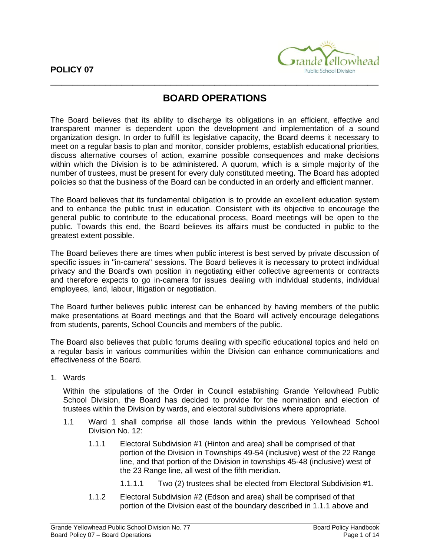

## **BOARD OPERATIONS**

The Board believes that its ability to discharge its obligations in an efficient, effective and transparent manner is dependent upon the development and implementation of a sound organization design. In order to fulfill its legislative capacity, the Board deems it necessary to meet on a regular basis to plan and monitor, consider problems, establish educational priorities, discuss alternative courses of action, examine possible consequences and make decisions within which the Division is to be administered. A quorum, which is a simple majority of the number of trustees, must be present for every duly constituted meeting. The Board has adopted policies so that the business of the Board can be conducted in an orderly and efficient manner.

The Board believes that its fundamental obligation is to provide an excellent education system and to enhance the public trust in education. Consistent with its objective to encourage the general public to contribute to the educational process, Board meetings will be open to the public. Towards this end, the Board believes its affairs must be conducted in public to the greatest extent possible.

The Board believes there are times when public interest is best served by private discussion of specific issues in "in-camera" sessions. The Board believes it is necessary to protect individual privacy and the Board's own position in negotiating either collective agreements or contracts and therefore expects to go in-camera for issues dealing with individual students, individual employees, land, labour, litigation or negotiation.

The Board further believes public interest can be enhanced by having members of the public make presentations at Board meetings and that the Board will actively encourage delegations from students, parents, School Councils and members of the public.

The Board also believes that public forums dealing with specific educational topics and held on a regular basis in various communities within the Division can enhance communications and effectiveness of the Board.

1. Wards

Within the stipulations of the Order in Council establishing Grande Yellowhead Public School Division, the Board has decided to provide for the nomination and election of trustees within the Division by wards, and electoral subdivisions where appropriate.

- 1.1 Ward 1 shall comprise all those lands within the previous Yellowhead School Division No. 12:
	- 1.1.1 Electoral Subdivision #1 (Hinton and area) shall be comprised of that portion of the Division in Townships 49-54 (inclusive) west of the 22 Range line, and that portion of the Division in townships 45-48 (inclusive) west of the 23 Range line, all west of the fifth meridian.
		- 1.1.1.1 Two (2) trustees shall be elected from Electoral Subdivision #1.
	- 1.1.2 Electoral Subdivision #2 (Edson and area) shall be comprised of that portion of the Division east of the boundary described in 1.1.1 above and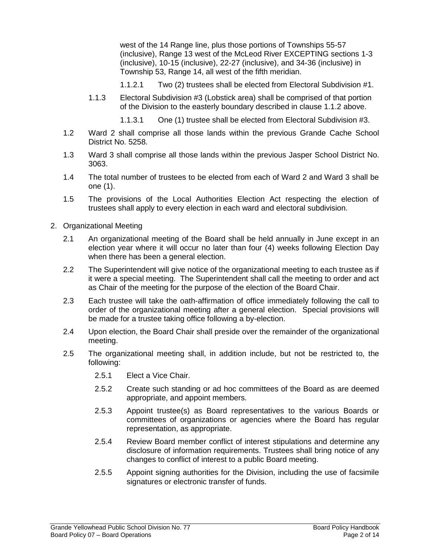west of the 14 Range line, plus those portions of Townships 55-57 (inclusive), Range 13 west of the McLeod River EXCEPTING sections 1-3 (inclusive), 10-15 (inclusive), 22-27 (inclusive), and 34-36 (inclusive) in Township 53, Range 14, all west of the fifth meridian.

- 1.1.2.1 Two (2) trustees shall be elected from Electoral Subdivision #1.
- 1.1.3 Electoral Subdivision #3 (Lobstick area) shall be comprised of that portion of the Division to the easterly boundary described in clause 1.1.2 above.
	- 1.1.3.1 One (1) trustee shall be elected from Electoral Subdivision #3.
- 1.2 Ward 2 shall comprise all those lands within the previous Grande Cache School District No. 5258.
- 1.3 Ward 3 shall comprise all those lands within the previous Jasper School District No. 3063.
- 1.4 The total number of trustees to be elected from each of Ward 2 and Ward 3 shall be one (1).
- 1.5 The provisions of the Local Authorities Election Act respecting the election of trustees shall apply to every election in each ward and electoral subdivision.
- 2. Organizational Meeting
	- 2.1 An organizational meeting of the Board shall be held annually in June except in an election year where it will occur no later than four (4) weeks following Election Day when there has been a general election.
	- 2.2 The Superintendent will give notice of the organizational meeting to each trustee as if it were a special meeting. The Superintendent shall call the meeting to order and act as Chair of the meeting for the purpose of the election of the Board Chair.
	- 2.3 Each trustee will take the oath-affirmation of office immediately following the call to order of the organizational meeting after a general election. Special provisions will be made for a trustee taking office following a by-election.
	- 2.4 Upon election, the Board Chair shall preside over the remainder of the organizational meeting.
	- 2.5 The organizational meeting shall, in addition include, but not be restricted to, the following:
		- 2.5.1 Elect a Vice Chair.
		- 2.5.2 Create such standing or ad hoc committees of the Board as are deemed appropriate, and appoint members.
		- 2.5.3 Appoint trustee(s) as Board representatives to the various Boards or committees of organizations or agencies where the Board has regular representation, as appropriate.
		- 2.5.4 Review Board member conflict of interest stipulations and determine any disclosure of information requirements. Trustees shall bring notice of any changes to conflict of interest to a public Board meeting.
		- 2.5.5 Appoint signing authorities for the Division, including the use of facsimile signatures or electronic transfer of funds.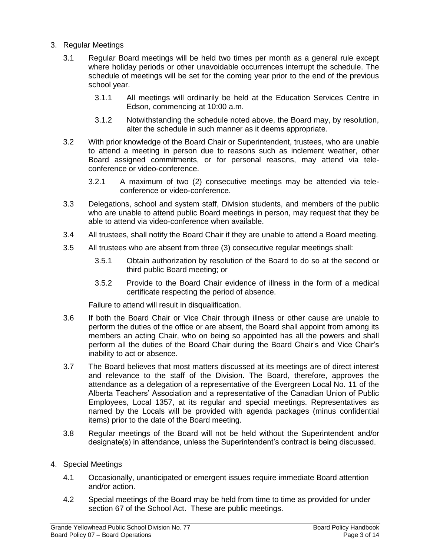- 3. Regular Meetings
	- 3.1 Regular Board meetings will be held two times per month as a general rule except where holiday periods or other unavoidable occurrences interrupt the schedule. The schedule of meetings will be set for the coming year prior to the end of the previous school year.
		- 3.1.1 All meetings will ordinarily be held at the Education Services Centre in Edson, commencing at 10:00 a.m.
		- 3.1.2 Notwithstanding the schedule noted above, the Board may, by resolution, alter the schedule in such manner as it deems appropriate.
	- 3.2 With prior knowledge of the Board Chair or Superintendent, trustees, who are unable to attend a meeting in person due to reasons such as inclement weather, other Board assigned commitments, or for personal reasons, may attend via teleconference or video-conference.
		- 3.2.1 A maximum of two (2) consecutive meetings may be attended via teleconference or video-conference.
	- 3.3 Delegations, school and system staff, Division students, and members of the public who are unable to attend public Board meetings in person, may request that they be able to attend via video-conference when available.
	- 3.4 All trustees, shall notify the Board Chair if they are unable to attend a Board meeting.
	- 3.5 All trustees who are absent from three (3) consecutive regular meetings shall:
		- 3.5.1 Obtain authorization by resolution of the Board to do so at the second or third public Board meeting; or
		- 3.5.2 Provide to the Board Chair evidence of illness in the form of a medical certificate respecting the period of absence.

Failure to attend will result in disqualification.

- 3.6 If both the Board Chair or Vice Chair through illness or other cause are unable to perform the duties of the office or are absent, the Board shall appoint from among its members an acting Chair, who on being so appointed has all the powers and shall perform all the duties of the Board Chair during the Board Chair's and Vice Chair's inability to act or absence.
- 3.7 The Board believes that most matters discussed at its meetings are of direct interest and relevance to the staff of the Division. The Board, therefore, approves the attendance as a delegation of a representative of the Evergreen Local No. 11 of the Alberta Teachers' Association and a representative of the Canadian Union of Public Employees, Local 1357, at its regular and special meetings. Representatives as named by the Locals will be provided with agenda packages (minus confidential items) prior to the date of the Board meeting.
- 3.8 Regular meetings of the Board will not be held without the Superintendent and/or designate(s) in attendance, unless the Superintendent's contract is being discussed.
- 4. Special Meetings
	- 4.1 Occasionally, unanticipated or emergent issues require immediate Board attention and/or action.
	- 4.2 Special meetings of the Board may be held from time to time as provided for under section 67 of the School Act. These are public meetings.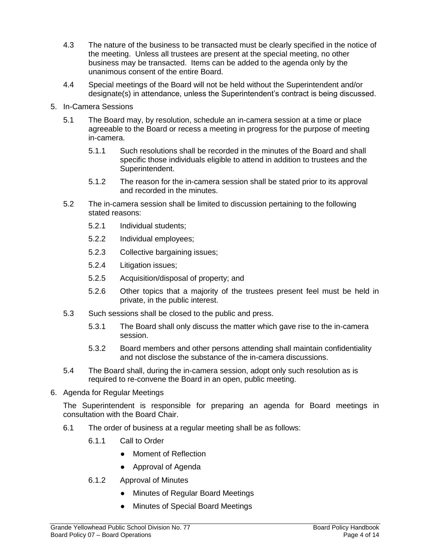- 4.3 The nature of the business to be transacted must be clearly specified in the notice of the meeting. Unless all trustees are present at the special meeting, no other business may be transacted. Items can be added to the agenda only by the unanimous consent of the entire Board.
- 4.4 Special meetings of the Board will not be held without the Superintendent and/or designate(s) in attendance, unless the Superintendent's contract is being discussed.
- 5. In-Camera Sessions
	- 5.1 The Board may, by resolution, schedule an in-camera session at a time or place agreeable to the Board or recess a meeting in progress for the purpose of meeting in-camera.
		- 5.1.1 Such resolutions shall be recorded in the minutes of the Board and shall specific those individuals eligible to attend in addition to trustees and the Superintendent.
		- 5.1.2 The reason for the in-camera session shall be stated prior to its approval and recorded in the minutes.
	- 5.2 The in-camera session shall be limited to discussion pertaining to the following stated reasons:
		- 5.2.1 Individual students;
		- 5.2.2 Individual employees;
		- 5.2.3 Collective bargaining issues;
		- 5.2.4 Litigation issues;
		- 5.2.5 Acquisition/disposal of property; and
		- 5.2.6 Other topics that a majority of the trustees present feel must be held in private, in the public interest.
	- 5.3 Such sessions shall be closed to the public and press.
		- 5.3.1 The Board shall only discuss the matter which gave rise to the in-camera session.
		- 5.3.2 Board members and other persons attending shall maintain confidentiality and not disclose the substance of the in-camera discussions.
	- 5.4 The Board shall, during the in-camera session, adopt only such resolution as is required to re-convene the Board in an open, public meeting.
- 6. Agenda for Regular Meetings

The Superintendent is responsible for preparing an agenda for Board meetings in consultation with the Board Chair.

- 6.1 The order of business at a regular meeting shall be as follows:
	- 6.1.1 Call to Order
		- Moment of Reflection
		- Approval of Agenda
	- 6.1.2 Approval of Minutes
		- Minutes of Regular Board Meetings
		- **Minutes of Special Board Meetings**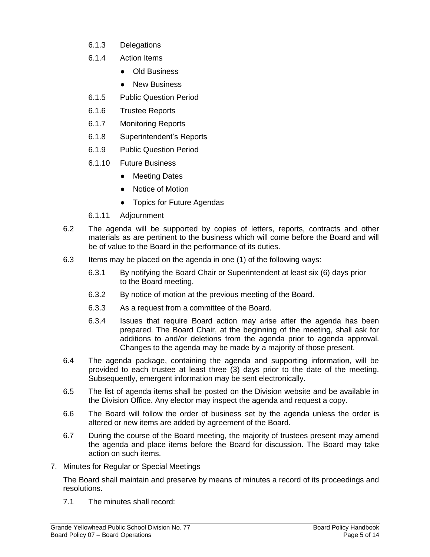- 6.1.3 Delegations
- 6.1.4 Action Items
	- Old Business
	- New Business
- 6.1.5 Public Question Period
- 6.1.6 Trustee Reports
- 6.1.7 Monitoring Reports
- 6.1.8 Superintendent's Reports
- 6.1.9 Public Question Period
- 6.1.10 Future Business
	- Meeting Dates
	- Notice of Motion
	- Topics for Future Agendas
- 6.1.11 Adjournment
- 6.2 The agenda will be supported by copies of letters, reports, contracts and other materials as are pertinent to the business which will come before the Board and will be of value to the Board in the performance of its duties.
- 6.3 Items may be placed on the agenda in one (1) of the following ways:
	- 6.3.1 By notifying the Board Chair or Superintendent at least six (6) days prior to the Board meeting.
	- 6.3.2 By notice of motion at the previous meeting of the Board.
	- 6.3.3 As a request from a committee of the Board.
	- 6.3.4 Issues that require Board action may arise after the agenda has been prepared. The Board Chair, at the beginning of the meeting, shall ask for additions to and/or deletions from the agenda prior to agenda approval. Changes to the agenda may be made by a majority of those present.
- 6.4 The agenda package, containing the agenda and supporting information, will be provided to each trustee at least three (3) days prior to the date of the meeting. Subsequently, emergent information may be sent electronically.
- 6.5 The list of agenda items shall be posted on the Division website and be available in the Division Office. Any elector may inspect the agenda and request a copy.
- 6.6 The Board will follow the order of business set by the agenda unless the order is altered or new items are added by agreement of the Board.
- 6.7 During the course of the Board meeting, the majority of trustees present may amend the agenda and place items before the Board for discussion. The Board may take action on such items.
- 7. Minutes for Regular or Special Meetings

The Board shall maintain and preserve by means of minutes a record of its proceedings and resolutions.

7.1 The minutes shall record: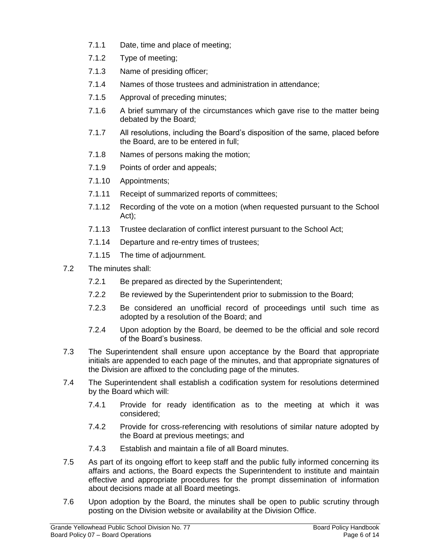- 7.1.1 Date, time and place of meeting;
- 7.1.2 Type of meeting;
- 7.1.3 Name of presiding officer;
- 7.1.4 Names of those trustees and administration in attendance;
- 7.1.5 Approval of preceding minutes;
- 7.1.6 A brief summary of the circumstances which gave rise to the matter being debated by the Board;
- 7.1.7 All resolutions, including the Board's disposition of the same, placed before the Board, are to be entered in full;
- 7.1.8 Names of persons making the motion;
- 7.1.9 Points of order and appeals;
- 7.1.10 Appointments;
- 7.1.11 Receipt of summarized reports of committees;
- 7.1.12 Recording of the vote on a motion (when requested pursuant to the School Act);
- 7.1.13 Trustee declaration of conflict interest pursuant to the School Act;
- 7.1.14 Departure and re-entry times of trustees;
- 7.1.15 The time of adjournment.
- 7.2 The minutes shall:
	- 7.2.1 Be prepared as directed by the Superintendent;
	- 7.2.2 Be reviewed by the Superintendent prior to submission to the Board;
	- 7.2.3 Be considered an unofficial record of proceedings until such time as adopted by a resolution of the Board; and
	- 7.2.4 Upon adoption by the Board, be deemed to be the official and sole record of the Board's business.
- 7.3 The Superintendent shall ensure upon acceptance by the Board that appropriate initials are appended to each page of the minutes, and that appropriate signatures of the Division are affixed to the concluding page of the minutes.
- 7.4 The Superintendent shall establish a codification system for resolutions determined by the Board which will:
	- 7.4.1 Provide for ready identification as to the meeting at which it was considered;
	- 7.4.2 Provide for cross-referencing with resolutions of similar nature adopted by the Board at previous meetings; and
	- 7.4.3 Establish and maintain a file of all Board minutes.
- 7.5 As part of its ongoing effort to keep staff and the public fully informed concerning its affairs and actions, the Board expects the Superintendent to institute and maintain effective and appropriate procedures for the prompt dissemination of information about decisions made at all Board meetings.
- 7.6 Upon adoption by the Board, the minutes shall be open to public scrutiny through posting on the Division website or availability at the Division Office.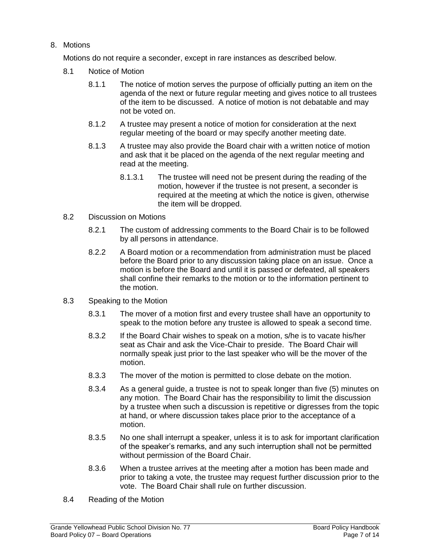## 8. Motions

Motions do not require a seconder, except in rare instances as described below.

- 8.1 Notice of Motion
	- 8.1.1 The notice of motion serves the purpose of officially putting an item on the agenda of the next or future regular meeting and gives notice to all trustees of the item to be discussed. A notice of motion is not debatable and may not be voted on.
	- 8.1.2 A trustee may present a notice of motion for consideration at the next regular meeting of the board or may specify another meeting date.
	- 8.1.3 A trustee may also provide the Board chair with a written notice of motion and ask that it be placed on the agenda of the next regular meeting and read at the meeting.
		- 8.1.3.1 The trustee will need not be present during the reading of the motion, however if the trustee is not present, a seconder is required at the meeting at which the notice is given, otherwise the item will be dropped.
- 8.2 Discussion on Motions
	- 8.2.1 The custom of addressing comments to the Board Chair is to be followed by all persons in attendance.
	- 8.2.2 A Board motion or a recommendation from administration must be placed before the Board prior to any discussion taking place on an issue. Once a motion is before the Board and until it is passed or defeated, all speakers shall confine their remarks to the motion or to the information pertinent to the motion.
- 8.3 Speaking to the Motion
	- 8.3.1 The mover of a motion first and every trustee shall have an opportunity to speak to the motion before any trustee is allowed to speak a second time.
	- 8.3.2 If the Board Chair wishes to speak on a motion, s/he is to vacate his/her seat as Chair and ask the Vice-Chair to preside. The Board Chair will normally speak just prior to the last speaker who will be the mover of the motion.
	- 8.3.3 The mover of the motion is permitted to close debate on the motion.
	- 8.3.4 As a general guide, a trustee is not to speak longer than five (5) minutes on any motion. The Board Chair has the responsibility to limit the discussion by a trustee when such a discussion is repetitive or digresses from the topic at hand, or where discussion takes place prior to the acceptance of a motion.
	- 8.3.5 No one shall interrupt a speaker, unless it is to ask for important clarification of the speaker's remarks, and any such interruption shall not be permitted without permission of the Board Chair.
	- 8.3.6 When a trustee arrives at the meeting after a motion has been made and prior to taking a vote, the trustee may request further discussion prior to the vote. The Board Chair shall rule on further discussion.
- 8.4 Reading of the Motion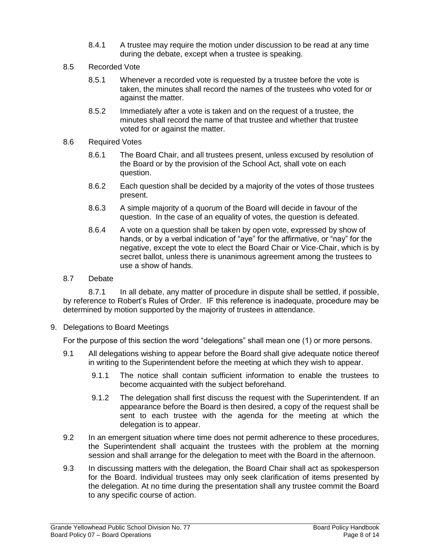- 8.4.1 A trustee may require the motion under discussion to be read at any time during the debate, except when a trustee is speaking.
- 8.5 Recorded Vote
	- 8.5.1 Whenever a recorded vote is requested by a trustee before the vote is taken, the minutes shall record the names of the trustees who voted for or against the matter.
	- 8.5.2 Immediately after a vote is taken and on the request of a trustee, the minutes shall record the name of that trustee and whether that trustee voted for or against the matter.
- 8.6 Required Votes
	- 8.6.1 The Board Chair, and all trustees present, unless excused by resolution of the Board or by the provision of the School Act, shall vote on each question.
	- 8.6.2 Each question shall be decided by a majority of the votes of those trustees present.
	- 8.6.3 A simple majority of a quorum of the Board will decide in favour of the question. In the case of an equality of votes, the question is defeated.
	- 8.6.4 A vote on a question shall be taken by open vote, expressed by show of hands, or by a verbal indication of "aye" for the affirmative, or "nay" for the negative, except the vote to elect the Board Chair or Vice-Chair, which is by secret ballot, unless there is unanimous agreement among the trustees to use a show of hands.
- 8.7 Debate

8.7.1 In all debate, any matter of procedure in dispute shall be settled, if possible, by reference to Robert's Rules of Order. IF this reference is inadequate, procedure may be determined by motion supported by the majority of trustees in attendance.

9. Delegations to Board Meetings

For the purpose of this section the word "delegations" shall mean one (1) or more persons.

- 9.1 All delegations wishing to appear before the Board shall give adequate notice thereof in writing to the Superintendent before the meeting at which they wish to appear.
	- 9.1.1 The notice shall contain sufficient information to enable the trustees to become acquainted with the subject beforehand.
	- 9.1.2 The delegation shall first discuss the request with the Superintendent. If an appearance before the Board is then desired, a copy of the request shall be sent to each trustee with the agenda for the meeting at which the delegation is to appear.
- 9.2 In an emergent situation where time does not permit adherence to these procedures, the Superintendent shall acquaint the trustees with the problem at the morning session and shall arrange for the delegation to meet with the Board in the afternoon.
- 9.3 In discussing matters with the delegation, the Board Chair shall act as spokesperson for the Board. Individual trustees may only seek clarification of items presented by the delegation. At no time during the presentation shall any trustee commit the Board to any specific course of action.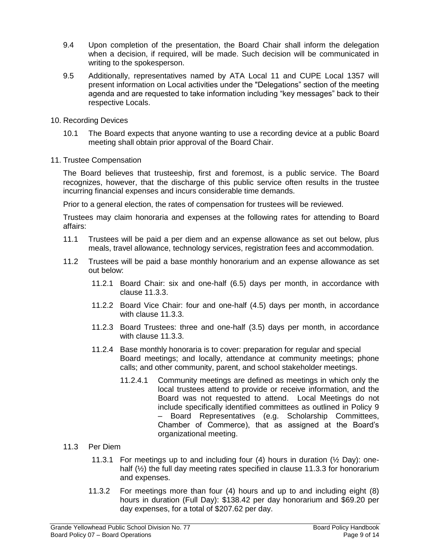- 9.4 Upon completion of the presentation, the Board Chair shall inform the delegation when a decision, if required, will be made. Such decision will be communicated in writing to the spokesperson.
- 9.5 Additionally, representatives named by ATA Local 11 and CUPE Local 1357 will present information on Local activities under the "Delegations" section of the meeting agenda and are requested to take information including "key messages" back to their respective Locals.
- 10. Recording Devices
	- 10.1 The Board expects that anyone wanting to use a recording device at a public Board meeting shall obtain prior approval of the Board Chair.
- 11. Trustee Compensation

The Board believes that trusteeship, first and foremost, is a public service. The Board recognizes, however, that the discharge of this public service often results in the trustee incurring financial expenses and incurs considerable time demands.

Prior to a general election, the rates of compensation for trustees will be reviewed.

Trustees may claim honoraria and expenses at the following rates for attending to Board affairs:

- 11.1 Trustees will be paid a per diem and an expense allowance as set out below, plus meals, travel allowance, technology services, registration fees and accommodation.
- 11.2 Trustees will be paid a base monthly honorarium and an expense allowance as set out below:
	- 11.2.1 Board Chair: six and one-half (6.5) days per month, in accordance with clause 11.3.3.
	- 11.2.2 Board Vice Chair: four and one-half (4.5) days per month, in accordance with clause 11.3.3.
	- 11.2.3 Board Trustees: three and one-half (3.5) days per month, in accordance with clause 11.3.3.
	- 11.2.4 Base monthly honoraria is to cover: preparation for regular and special Board meetings; and locally, attendance at community meetings; phone calls; and other community, parent, and school stakeholder meetings.
		- 11.2.4.1 Community meetings are defined as meetings in which only the local trustees attend to provide or receive information, and the Board was not requested to attend. Local Meetings do not include specifically identified committees as outlined in Policy 9 – Board Representatives (e.g. Scholarship Committees, Chamber of Commerce), that as assigned at the Board's organizational meeting.

## 11.3 Per Diem

- 11.3.1 For meetings up to and including four (4) hours in duration  $(\frac{1}{2}$  Day): onehalf (<sup>1</sup>/<sub>2</sub>) the full day meeting rates specified in clause 11.3.3 for honorarium and expenses.
- 11.3.2 For meetings more than four (4) hours and up to and including eight (8) hours in duration (Full Day): \$138.42 per day honorarium and \$69.20 per day expenses, for a total of \$207.62 per day.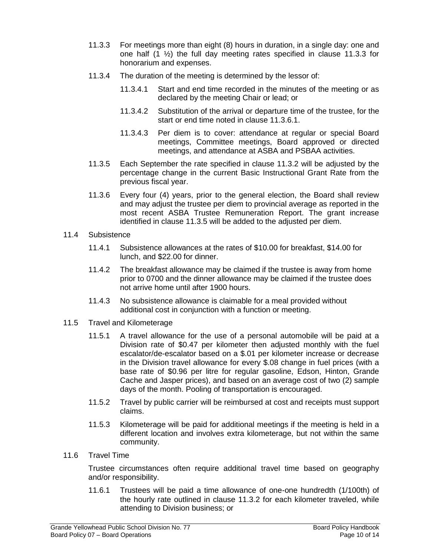- 11.3.3 For meetings more than eight (8) hours in duration, in a single day: one and one half (1 ½) the full day meeting rates specified in clause 11.3.3 for honorarium and expenses.
- 11.3.4 The duration of the meeting is determined by the lessor of:
	- 11.3.4.1 Start and end time recorded in the minutes of the meeting or as declared by the meeting Chair or lead; or
	- 11.3.4.2 Substitution of the arrival or departure time of the trustee, for the start or end time noted in clause 11.3.6.1.
	- 11.3.4.3 Per diem is to cover: attendance at regular or special Board meetings, Committee meetings, Board approved or directed meetings, and attendance at ASBA and PSBAA activities.
- 11.3.5 Each September the rate specified in clause 11.3.2 will be adjusted by the percentage change in the current Basic Instructional Grant Rate from the previous fiscal year.
- 11.3.6 Every four (4) years, prior to the general election, the Board shall review and may adjust the trustee per diem to provincial average as reported in the most recent ASBA Trustee Remuneration Report. The grant increase identified in clause 11.3.5 will be added to the adjusted per diem.
- 11.4 Subsistence
	- 11.4.1 Subsistence allowances at the rates of \$10.00 for breakfast, \$14.00 for lunch, and \$22.00 for dinner.
	- 11.4.2 The breakfast allowance may be claimed if the trustee is away from home prior to 0700 and the dinner allowance may be claimed if the trustee does not arrive home until after 1900 hours.
	- 11.4.3 No subsistence allowance is claimable for a meal provided without additional cost in conjunction with a function or meeting.
- 11.5 Travel and Kilometerage
	- 11.5.1 A travel allowance for the use of a personal automobile will be paid at a Division rate of \$0.47 per kilometer then adjusted monthly with the fuel escalator/de-escalator based on a \$.01 per kilometer increase or decrease in the Division travel allowance for every \$.08 change in fuel prices (with a base rate of \$0.96 per litre for regular gasoline, Edson, Hinton, Grande Cache and Jasper prices), and based on an average cost of two (2) sample days of the month. Pooling of transportation is encouraged.
	- 11.5.2 Travel by public carrier will be reimbursed at cost and receipts must support claims.
	- 11.5.3 Kilometerage will be paid for additional meetings if the meeting is held in a different location and involves extra kilometerage, but not within the same community.
- 11.6 Travel Time

Trustee circumstances often require additional travel time based on geography and/or responsibility.

11.6.1 Trustees will be paid a time allowance of one-one hundredth (1/100th) of the hourly rate outlined in clause 11.3.2 for each kilometer traveled, while attending to Division business; or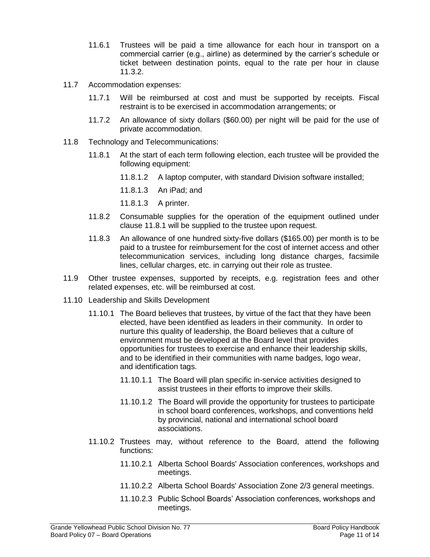- 11.6.1 Trustees will be paid a time allowance for each hour in transport on a commercial carrier (e.g., airline) as determined by the carrier's schedule or ticket between destination points, equal to the rate per hour in clause 11.3.2.
- 11.7 Accommodation expenses:
	- 11.7.1 Will be reimbursed at cost and must be supported by receipts. Fiscal restraint is to be exercised in accommodation arrangements; or
	- 11.7.2 An allowance of sixty dollars (\$60.00) per night will be paid for the use of private accommodation.
- 11.8 Technology and Telecommunications:
	- 11.8.1 At the start of each term following election, each trustee will be provided the following equipment:
		- 11.8.1.2 A laptop computer, with standard Division software installed;
		- 11.8.1.3 An iPad; and
		- 11.8.1.3 A printer.
	- 11.8.2 Consumable supplies for the operation of the equipment outlined under clause 11.8.1 will be supplied to the trustee upon request.
	- 11.8.3 An allowance of one hundred sixty-five dollars (\$165.00) per month is to be paid to a trustee for reimbursement for the cost of internet access and other telecommunication services, including long distance charges, facsimile lines, cellular charges, etc. in carrying out their role as trustee.
- 11.9 Other trustee expenses, supported by receipts, e.g. registration fees and other related expenses, etc. will be reimbursed at cost.
- 11.10 Leadership and Skills Development
	- 11.10.1 The Board believes that trustees, by virtue of the fact that they have been elected, have been identified as leaders in their community. In order to nurture this quality of leadership, the Board believes that a culture of environment must be developed at the Board level that provides opportunities for trustees to exercise and enhance their leadership skills, and to be identified in their communities with name badges, logo wear, and identification tags.
		- 11.10.1.1 The Board will plan specific in-service activities designed to assist trustees in their efforts to improve their skills.
		- 11.10.1.2 The Board will provide the opportunity for trustees to participate in school board conferences, workshops, and conventions held by provincial, national and international school board associations.
	- 11.10.2 Trustees may, without reference to the Board, attend the following functions:
		- 11.10.2.1 Alberta School Boards' Association conferences, workshops and meetings.
		- 11.10.2.2 Alberta School Boards' Association Zone 2/3 general meetings.
		- 11.10.2.3 Public School Boards' Association conferences, workshops and meetings.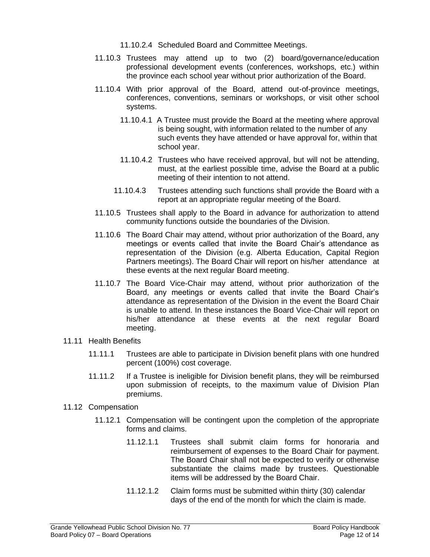- 11.10.2.4 Scheduled Board and Committee Meetings.
- 11.10.3 Trustees may attend up to two (2) board/governance/education professional development events (conferences, workshops, etc.) within the province each school year without prior authorization of the Board.
- 11.10.4 With prior approval of the Board, attend out-of-province meetings, conferences, conventions, seminars or workshops, or visit other school systems.
	- 11.10.4.1 A Trustee must provide the Board at the meeting where approval is being sought, with information related to the number of any such events they have attended or have approval for, within that school year.
	- 11.10.4.2 Trustees who have received approval, but will not be attending, must, at the earliest possible time, advise the Board at a public meeting of their intention to not attend.
	- 11.10.4.3 Trustees attending such functions shall provide the Board with a report at an appropriate regular meeting of the Board.
- 11.10.5 Trustees shall apply to the Board in advance for authorization to attend community functions outside the boundaries of the Division.
- 11.10.6 The Board Chair may attend, without prior authorization of the Board, any meetings or events called that invite the Board Chair's attendance as representation of the Division (e.g. Alberta Education, Capital Region Partners meetings). The Board Chair will report on his/her attendance at these events at the next regular Board meeting.
- 11.10.7 The Board Vice-Chair may attend, without prior authorization of the Board, any meetings or events called that invite the Board Chair's attendance as representation of the Division in the event the Board Chair is unable to attend. In these instances the Board Vice-Chair will report on his/her attendance at these events at the next regular Board meeting.
- 11.11 Health Benefits
	- 11.11.1 Trustees are able to participate in Division benefit plans with one hundred percent (100%) cost coverage.
	- 11.11.2 If a Trustee is ineligible for Division benefit plans, they will be reimbursed upon submission of receipts, to the maximum value of Division Plan premiums.
- 11.12 Compensation
	- 11.12.1 Compensation will be contingent upon the completion of the appropriate forms and claims.
		- 11.12.1.1 Trustees shall submit claim forms for honoraria and reimbursement of expenses to the Board Chair for payment. The Board Chair shall not be expected to verify or otherwise substantiate the claims made by trustees. Questionable items will be addressed by the Board Chair.
		- 11.12.1.2 Claim forms must be submitted within thirty (30) calendar days of the end of the month for which the claim is made.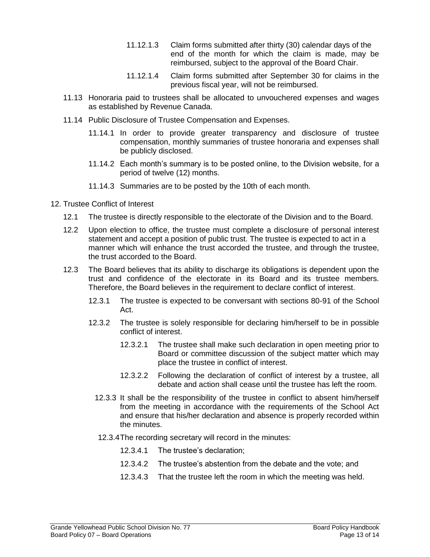- 11.12.1.3 Claim forms submitted after thirty (30) calendar days of the end of the month for which the claim is made, may be reimbursed, subject to the approval of the Board Chair.
- 11.12.1.4 Claim forms submitted after September 30 for claims in the previous fiscal year, will not be reimbursed.
- 11.13 Honoraria paid to trustees shall be allocated to unvouchered expenses and wages as established by Revenue Canada.
- 11.14 Public Disclosure of Trustee Compensation and Expenses.
	- 11.14.1 In order to provide greater transparency and disclosure of trustee compensation, monthly summaries of trustee honoraria and expenses shall be publicly disclosed.
	- 11.14.2 Each month's summary is to be posted online, to the Division website, for a period of twelve (12) months.
	- 11.14.3 Summaries are to be posted by the 10th of each month.
- 12. Trustee Conflict of Interest
	- 12.1 The trustee is directly responsible to the electorate of the Division and to the Board.
	- 12.2 Upon election to office, the trustee must complete a disclosure of personal interest statement and accept a position of public trust. The trustee is expected to act in a manner which will enhance the trust accorded the trustee, and through the trustee, the trust accorded to the Board.
	- 12.3 The Board believes that its ability to discharge its obligations is dependent upon the trust and confidence of the electorate in its Board and its trustee members. Therefore, the Board believes in the requirement to declare conflict of interest.
		- 12.3.1 The trustee is expected to be conversant with sections 80-91 of the School Act.
		- 12.3.2 The trustee is solely responsible for declaring him/herself to be in possible conflict of interest.
			- 12.3.2.1 The trustee shall make such declaration in open meeting prior to Board or committee discussion of the subject matter which may place the trustee in conflict of interest.
			- 12.3.2.2 Following the declaration of conflict of interest by a trustee, all debate and action shall cease until the trustee has left the room.
			- 12.3.3 It shall be the responsibility of the trustee in conflict to absent him/herself from the meeting in accordance with the requirements of the School Act and ensure that his/her declaration and absence is properly recorded within the minutes.
			- 12.3.4The recording secretary will record in the minutes:
				- 12.3.4.1 The trustee's declaration;
				- 12.3.4.2 The trustee's abstention from the debate and the vote; and
				- 12.3.4.3 That the trustee left the room in which the meeting was held.